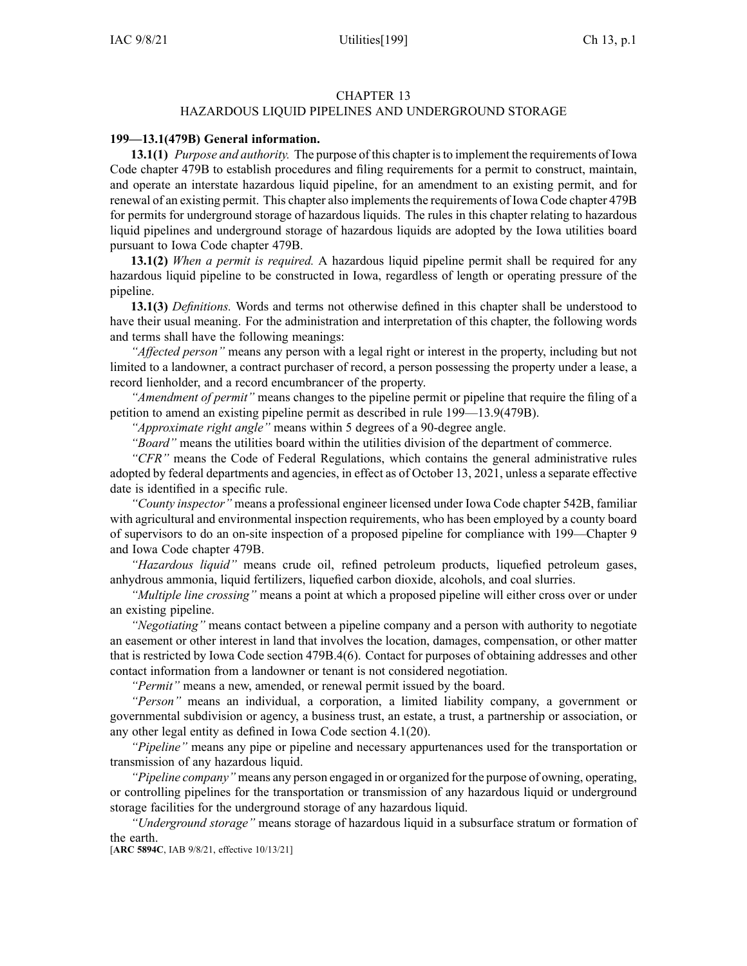### CHAPTER 13

# HAZARDOUS LIQUID PIPELINES AND UNDERGROUND STORAGE

### **199—13.1(479B) General information.**

**13.1(1)** *Purpose and authority.* The purpose of this chapter isto implement the requirements of Iowa Code chapter [479B](https://www.legis.iowa.gov/docs/ico/chapter/479B.pdf) to establish procedures and filing requirements for <sup>a</sup> permit to construct, maintain, and operate an interstate hazardous liquid pipeline, for an amendment to an existing permit, and for renewal of an existing permit. This chapter also implements the requirements of Iowa Code chapter [479B](https://www.legis.iowa.gov/docs/ico/chapter/479B.pdf) for permits for underground storage of hazardous liquids. The rules in this chapter relating to hazardous liquid pipelines and underground storage of hazardous liquids are adopted by the Iowa utilities board pursuan<sup>t</sup> to Iowa Code chapter 479B.

**13.1(2)** *When <sup>a</sup> permit is required.* A hazardous liquid pipeline permit shall be required for any hazardous liquid pipeline to be constructed in Iowa, regardless of length or operating pressure of the pipeline.

**13.1(3)** *Definitions.* Words and terms not otherwise defined in this chapter shall be understood to have their usual meaning. For the administration and interpretation of this chapter, the following words and terms shall have the following meanings:

*"Affected person"* means any person with <sup>a</sup> legal right or interest in the property, including but not limited to <sup>a</sup> landowner, <sup>a</sup> contract purchaser of record, <sup>a</sup> person possessing the property under <sup>a</sup> lease, <sup>a</sup> record lienholder, and <sup>a</sup> record encumbrancer of the property.

*"Amendment of permit"* means changes to the pipeline permit or pipeline that require the filing of <sup>a</sup> petition to amend an existing pipeline permit as described in rule [199—13.9](https://www.legis.iowa.gov/docs/iac/rule/199.13.9.pdf)(479B).

*"Approximate right angle"* means within 5 degrees of <sup>a</sup> 90-degree angle.

*"Board"* means the utilities board within the utilities division of the department of commerce.

*"CFR"* means the Code of Federal Regulations, which contains the general administrative rules adopted by federal departments and agencies, in effect as of October 13, 2021, unless <sup>a</sup> separate effective date is identified in <sup>a</sup> specific rule.

*"County inspector"* means <sup>a</sup> professional engineer licensed under Iowa Code chapter [542B](https://www.legis.iowa.gov/docs/ico/chapter/542B.pdf), familiar with agricultural and environmental inspection requirements, who has been employed by <sup>a</sup> county board of supervisors to do an on-site inspection of <sup>a</sup> proposed pipeline for compliance with [199—Chapter](https://www.legis.iowa.gov/docs/iac/chapter/199.9.pdf) 9 and Iowa Code chapter [479B](https://www.legis.iowa.gov/docs/ico/chapter/479B.pdf).

*"Hazardous liquid"* means crude oil, refined petroleum products, liquefied petroleum gases, anhydrous ammonia, liquid fertilizers, liquefied carbon dioxide, alcohols, and coal slurries.

*"Multiple line crossing"* means <sup>a</sup> point at which <sup>a</sup> proposed pipeline will either cross over or under an existing pipeline.

*"Negotiating"* means contact between <sup>a</sup> pipeline company and <sup>a</sup> person with authority to negotiate an easement or other interest in land that involves the location, damages, compensation, or other matter that is restricted by Iowa Code section [479B.4\(6\)](https://www.legis.iowa.gov/docs/ico/section/479B.4.pdf). Contact for purposes of obtaining addresses and other contact information from <sup>a</sup> landowner or tenant is not considered negotiation.

*"Permit"* means <sup>a</sup> new, amended, or renewal permit issued by the board.

*"Person"* means an individual, <sup>a</sup> corporation, <sup>a</sup> limited liability company, <sup>a</sup> governmen<sup>t</sup> or governmental subdivision or agency, <sup>a</sup> business trust, an estate, <sup>a</sup> trust, <sup>a</sup> partnership or association, or any other legal entity as defined in Iowa Code section [4.1\(20\)](https://www.legis.iowa.gov/docs/ico/section/4.1.pdf).

*"Pipeline"* means any pipe or pipeline and necessary appurtenances used for the transportation or transmission of any hazardous liquid.

*"Pipeline company"* means any person engaged in or organized for the purpose of owning, operating, or controlling pipelines for the transportation or transmission of any hazardous liquid or underground storage facilities for the underground storage of any hazardous liquid.

*"Underground storage"* means storage of hazardous liquid in <sup>a</sup> subsurface stratum or formation of the earth.

[**ARC [5894C](https://www.legis.iowa.gov/docs/aco/arc/5894C.pdf)**, IAB 9/8/21, effective 10/13/21]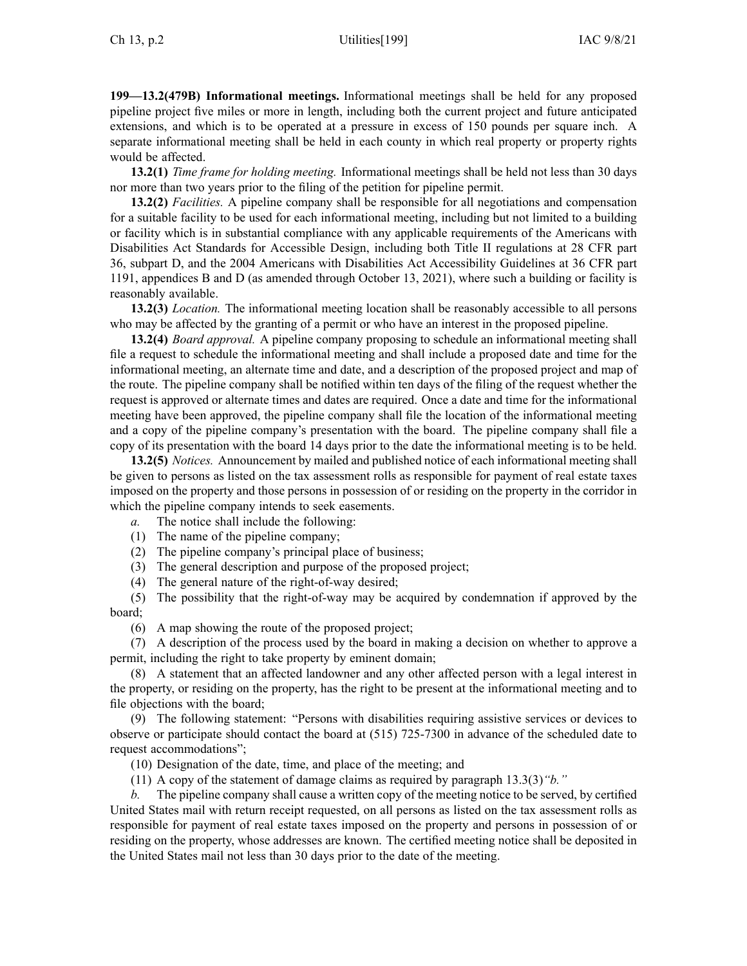**199—13.2(479B) Informational meetings.** Informational meetings shall be held for any proposed pipeline project five miles or more in length, including both the current project and future anticipated extensions, and which is to be operated at <sup>a</sup> pressure in excess of 150 pounds per square inch. A separate informational meeting shall be held in each county in which real property or property rights would be affected.

**13.2(1)** *Time frame for holding meeting.* Informational meetings shall be held not less than 30 days nor more than two years prior to the filing of the petition for pipeline permit.

**13.2(2)** *Facilities.* A pipeline company shall be responsible for all negotiations and compensation for <sup>a</sup> suitable facility to be used for each informational meeting, including but not limited to <sup>a</sup> building or facility which is in substantial compliance with any applicable requirements of the Americans with Disabilities Act Standards for Accessible Design, including both Title II regulations at 28 CFR par<sup>t</sup> 36, subpart D, and the 2004 Americans with Disabilities Act Accessibility Guidelines at 36 CFR par<sup>t</sup> 1191, appendices B and D (as amended through October 13, 2021), where such <sup>a</sup> building or facility is reasonably available.

**13.2(3)** *Location.* The informational meeting location shall be reasonably accessible to all persons who may be affected by the granting of <sup>a</sup> permit or who have an interest in the proposed pipeline.

**13.2(4)** *Board approval.* A pipeline company proposing to schedule an informational meeting shall file <sup>a</sup> reques<sup>t</sup> to schedule the informational meeting and shall include <sup>a</sup> proposed date and time for the informational meeting, an alternate time and date, and <sup>a</sup> description of the proposed project and map of the route. The pipeline company shall be notified within ten days of the filing of the reques<sup>t</sup> whether the reques<sup>t</sup> is approved or alternate times and dates are required. Once <sup>a</sup> date and time for the informational meeting have been approved, the pipeline company shall file the location of the informational meeting and <sup>a</sup> copy of the pipeline company's presentation with the board. The pipeline company shall file <sup>a</sup> copy of its presentation with the board 14 days prior to the date the informational meeting is to be held.

**13.2(5)** *Notices.* Announcement by mailed and published notice of each informational meeting shall be given to persons as listed on the tax assessment rolls as responsible for paymen<sup>t</sup> of real estate taxes imposed on the property and those persons in possession of or residing on the property in the corridor in which the pipeline company intends to seek easements.

- *a.* The notice shall include the following:
- (1) The name of the pipeline company;
- (2) The pipeline company's principal place of business;
- (3) The general description and purpose of the proposed project;
- (4) The general nature of the right-of-way desired;

(5) The possibility that the right-of-way may be acquired by condemnation if approved by the board;

(6) A map showing the route of the proposed project;

(7) A description of the process used by the board in making <sup>a</sup> decision on whether to approve <sup>a</sup> permit, including the right to take property by eminent domain;

(8) A statement that an affected landowner and any other affected person with <sup>a</sup> legal interest in the property, or residing on the property, has the right to be presen<sup>t</sup> at the informational meeting and to file objections with the board;

(9) The following statement: "Persons with disabilities requiring assistive services or devices to observe or participate should contact the board at (515) 725-7300 in advance of the scheduled date to reques<sup>t</sup> accommodations";

(10) Designation of the date, time, and place of the meeting; and

(11) A copy of the statement of damage claims as required by paragraph [13.3\(3\)](https://www.legis.iowa.gov/docs/iac/rule/199.13.3.pdf)*"b."*

The pipeline company shall cause a written copy of the meeting notice to be served, by certified United States mail with return receipt requested, on all persons as listed on the tax assessment rolls as responsible for paymen<sup>t</sup> of real estate taxes imposed on the property and persons in possession of or residing on the property, whose addresses are known. The certified meeting notice shall be deposited in the United States mail not less than 30 days prior to the date of the meeting.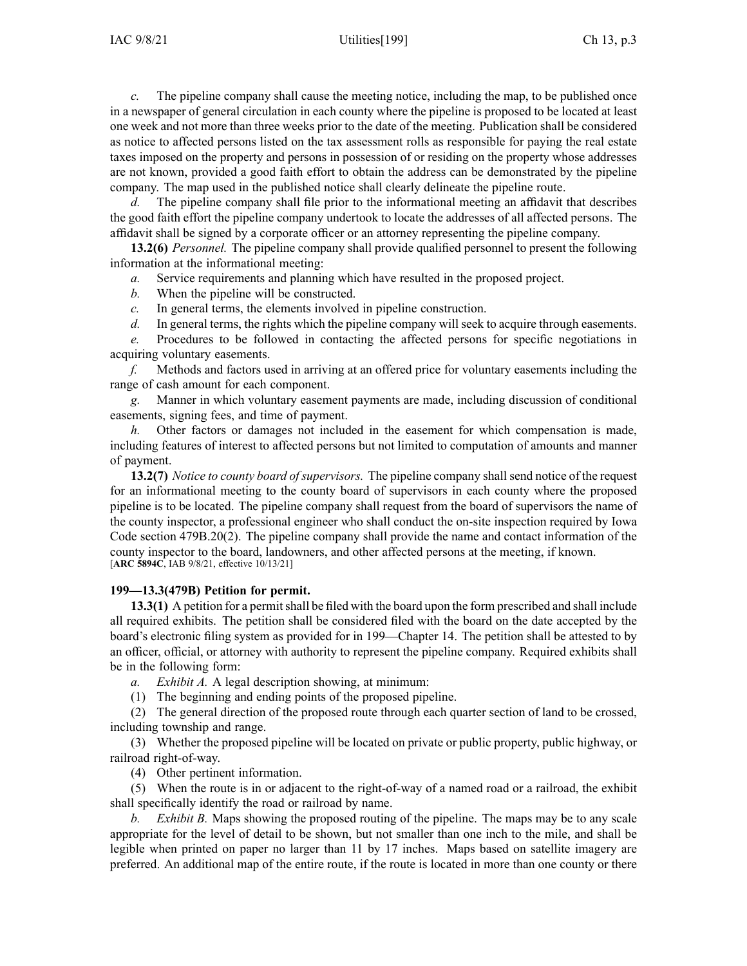*c.* The pipeline company shall cause the meeting notice, including the map, to be published once in <sup>a</sup> newspaper of general circulation in each county where the pipeline is proposed to be located at least one week and not more than three weeks prior to the date of the meeting. Publication shall be considered as notice to affected persons listed on the tax assessment rolls as responsible for paying the real estate taxes imposed on the property and persons in possession of or residing on the property whose addresses are not known, provided <sup>a</sup> good faith effort to obtain the address can be demonstrated by the pipeline company. The map used in the published notice shall clearly delineate the pipeline route.

The pipeline company shall file prior to the informational meeting an affidavit that describes the good faith effort the pipeline company undertook to locate the addresses of all affected persons. The affidavit shall be signed by <sup>a</sup> corporate officer or an attorney representing the pipeline company.

**13.2(6)** *Personnel.* The pipeline company shall provide qualified personnel to presen<sup>t</sup> the following information at the informational meeting:

*a.* Service requirements and planning which have resulted in the proposed project.

- *b.* When the pipeline will be constructed.
- *c.* In general terms, the elements involved in pipeline construction.
- *d.* In general terms, the rights which the pipeline company will seek to acquire through easements.

*e.* Procedures to be followed in contacting the affected persons for specific negotiations in acquiring voluntary easements.

*f.* Methods and factors used in arriving at an offered price for voluntary easements including the range of cash amount for each component.

*g.* Manner in which voluntary easement payments are made, including discussion of conditional easements, signing fees, and time of payment.

*h.* Other factors or damages not included in the easement for which compensation is made, including features of interest to affected persons but not limited to computation of amounts and manner of payment.

**13.2(7)** *Notice to county board ofsupervisors.* The pipeline company shallsend notice of the reques<sup>t</sup> for an informational meeting to the county board of supervisors in each county where the proposed pipeline is to be located. The pipeline company shall reques<sup>t</sup> from the board of supervisors the name of the county inspector, <sup>a</sup> professional engineer who shall conduct the on-site inspection required by Iowa Code section [479B.20\(2\)](https://www.legis.iowa.gov/docs/ico/section/479B.20.pdf). The pipeline company shall provide the name and contact information of the county inspector to the board, landowners, and other affected persons at the meeting, if known. [**ARC [5894C](https://www.legis.iowa.gov/docs/aco/arc/5894C.pdf)**, IAB 9/8/21, effective 10/13/21]

## **199—13.3(479B) Petition for permit.**

**13.3(1)** A petition for a permit shall be filed with the board upon the form prescribed and shall include all required exhibits. The petition shall be considered filed with the board on the date accepted by the board's electronic filing system as provided for in [199—Chapter](https://www.legis.iowa.gov/docs/iac/chapter/199.14.pdf) 14. The petition shall be attested to by an officer, official, or attorney with authority to represen<sup>t</sup> the pipeline company. Required exhibits shall be in the following form:

*a. Exhibit A.* A legal description showing, at minimum:

(1) The beginning and ending points of the proposed pipeline.

(2) The general direction of the proposed route through each quarter section of land to be crossed, including township and range.

(3) Whether the proposed pipeline will be located on private or public property, public highway, or railroad right-of-way.

(4) Other pertinent information.

(5) When the route is in or adjacent to the right-of-way of <sup>a</sup> named road or <sup>a</sup> railroad, the exhibit shall specifically identify the road or railroad by name.

*b. Exhibit B.* Maps showing the proposed routing of the pipeline. The maps may be to any scale appropriate for the level of detail to be shown, but not smaller than one inch to the mile, and shall be legible when printed on paper no larger than 11 by 17 inches. Maps based on satellite imagery are preferred. An additional map of the entire route, if the route is located in more than one county or there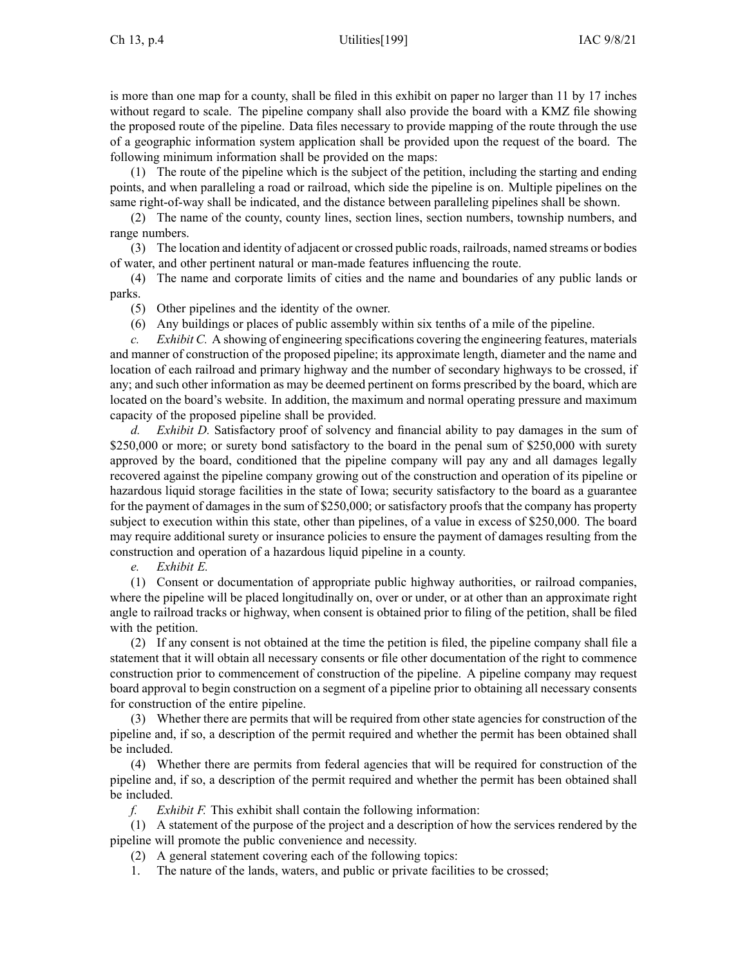is more than one map for <sup>a</sup> county, shall be filed in this exhibit on paper no larger than 11 by 17 inches without regard to scale. The pipeline company shall also provide the board with <sup>a</sup> KMZ file showing the proposed route of the pipeline. Data files necessary to provide mapping of the route through the use of <sup>a</sup> geographic information system application shall be provided upon the reques<sup>t</sup> of the board. The following minimum information shall be provided on the maps:

(1) The route of the pipeline which is the subject of the petition, including the starting and ending points, and when paralleling <sup>a</sup> road or railroad, which side the pipeline is on. Multiple pipelines on the same right-of-way shall be indicated, and the distance between paralleling pipelines shall be shown.

(2) The name of the county, county lines, section lines, section numbers, township numbers, and range numbers.

(3) The location and identity of adjacent or crossed public roads, railroads, named streams or bodies of water, and other pertinent natural or man-made features influencing the route.

(4) The name and corporate limits of cities and the name and boundaries of any public lands or parks.

(5) Other pipelines and the identity of the owner.

(6) Any buildings or places of public assembly within six tenths of <sup>a</sup> mile of the pipeline.

*c. Exhibit C.* A showing of engineering specifications covering the engineering features, materials and manner of construction of the proposed pipeline; its approximate length, diameter and the name and location of each railroad and primary highway and the number of secondary highways to be crossed, if any; and such other information as may be deemed pertinent on forms prescribed by the board, which are located on the board's website. In addition, the maximum and normal operating pressure and maximum capacity of the proposed pipeline shall be provided.

*d. Exhibit D.* Satisfactory proof of solvency and financial ability to pay damages in the sum of \$250,000 or more; or surety bond satisfactory to the board in the penal sum of \$250,000 with surety approved by the board, conditioned that the pipeline company will pay any and all damages legally recovered against the pipeline company growing out of the construction and operation of its pipeline or hazardous liquid storage facilities in the state of Iowa; security satisfactory to the board as <sup>a</sup> guarantee for the paymen<sup>t</sup> of damages in the sum of \$250,000; or satisfactory proofs that the company has property subject to execution within this state, other than pipelines, of <sup>a</sup> value in excess of \$250,000. The board may require additional surety or insurance policies to ensure the paymen<sup>t</sup> of damages resulting from the construction and operation of <sup>a</sup> hazardous liquid pipeline in <sup>a</sup> county.

*e. Exhibit E.*

(1) Consent or documentation of appropriate public highway authorities, or railroad companies, where the pipeline will be placed longitudinally on, over or under, or at other than an approximate right angle to railroad tracks or highway, when consent is obtained prior to filing of the petition, shall be filed with the petition.

(2) If any consent is not obtained at the time the petition is filed, the pipeline company shall file <sup>a</sup> statement that it will obtain all necessary consents or file other documentation of the right to commence construction prior to commencement of construction of the pipeline. A pipeline company may reques<sup>t</sup> board approval to begin construction on <sup>a</sup> segmen<sup>t</sup> of <sup>a</sup> pipeline prior to obtaining all necessary consents for construction of the entire pipeline.

(3) Whether there are permits that will be required from other state agencies for construction of the pipeline and, if so, <sup>a</sup> description of the permit required and whether the permit has been obtained shall be included.

(4) Whether there are permits from federal agencies that will be required for construction of the pipeline and, if so, <sup>a</sup> description of the permit required and whether the permit has been obtained shall be included.

*f. Exhibit F.* This exhibit shall contain the following information:

(1) A statement of the purpose of the project and <sup>a</sup> description of how the services rendered by the pipeline will promote the public convenience and necessity.

(2) A general statement covering each of the following topics:

1. The nature of the lands, waters, and public or private facilities to be crossed;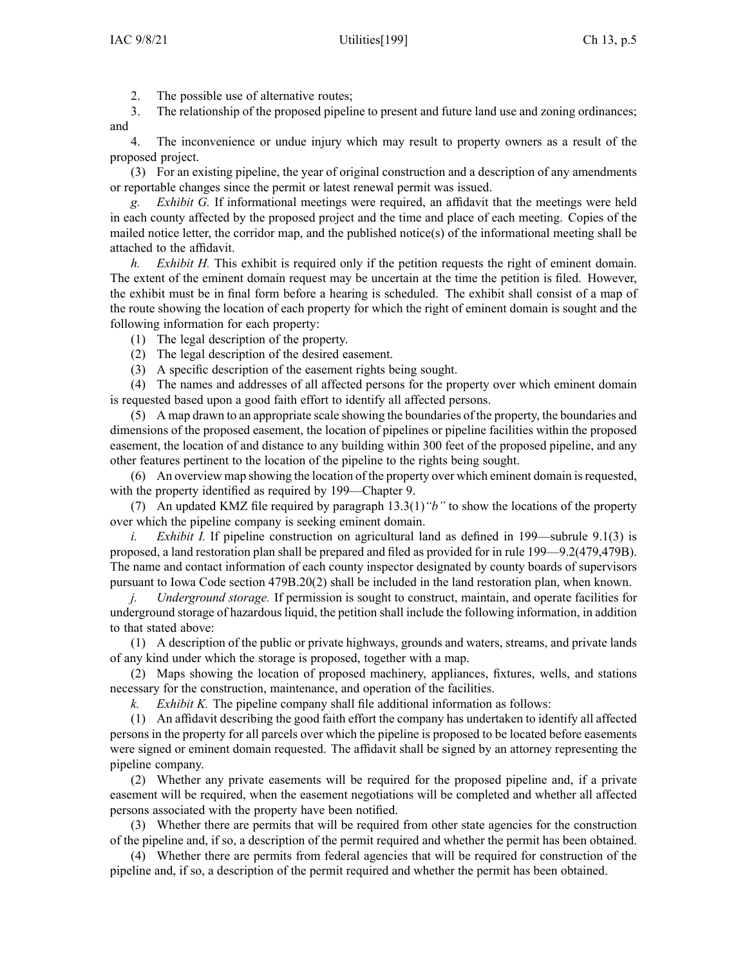2. The possible use of alternative routes;

3. The relationship of the proposed pipeline to presen<sup>t</sup> and future land use and zoning ordinances; and

4. The inconvenience or undue injury which may result to property owners as <sup>a</sup> result of the proposed project.

(3) For an existing pipeline, the year of original construction and <sup>a</sup> description of any amendments or reportable changes since the permit or latest renewal permit was issued.

*g. Exhibit G.* If informational meetings were required, an affidavit that the meetings were held in each county affected by the proposed project and the time and place of each meeting. Copies of the mailed notice letter, the corridor map, and the published notice(s) of the informational meeting shall be attached to the affidavit.

*h. Exhibit H.* This exhibit is required only if the petition requests the right of eminent domain. The extent of the eminent domain reques<sup>t</sup> may be uncertain at the time the petition is filed. However, the exhibit must be in final form before <sup>a</sup> hearing is scheduled. The exhibit shall consist of <sup>a</sup> map of the route showing the location of each property for which the right of eminent domain is sought and the following information for each property:

(1) The legal description of the property.

- (2) The legal description of the desired easement.
- (3) A specific description of the easement rights being sought.

(4) The names and addresses of all affected persons for the property over which eminent domain is requested based upon <sup>a</sup> good faith effort to identify all affected persons.

(5) A map drawn to an appropriate scale showing the boundaries of the property, the boundaries and dimensions of the proposed easement, the location of pipelines or pipeline facilities within the proposed easement, the location of and distance to any building within 300 feet of the proposed pipeline, and any other features pertinent to the location of the pipeline to the rights being sought.

(6) An overview map showing the location of the property over which eminent domain isrequested, with the property identified as required by [199—Chapter](https://www.legis.iowa.gov/docs/iac/chapter/199.9.pdf) 9.

(7) An updated KMZ file required by paragraph [13.3\(1\)](https://www.legis.iowa.gov/docs/iac/rule/199.13.3.pdf)*"b"* to show the locations of the property over which the pipeline company is seeking eminent domain.

*i. Exhibit I.* If pipeline construction on agricultural land as defined in [199—subrule](https://www.legis.iowa.gov/docs/iac/rule/199.9.1.pdf) 9.1(3) is proposed, <sup>a</sup> land restoration plan shall be prepared and filed as provided for in rule [199—9.2](https://www.legis.iowa.gov/docs/iac/rule/199.9.2.pdf)(479,479B). The name and contact information of each county inspector designated by county boards of supervisors pursuan<sup>t</sup> to Iowa Code section [479B.20\(2\)](https://www.legis.iowa.gov/docs/ico/section/479B.20.pdf) shall be included in the land restoration plan, when known.

*j. Underground storage.* If permission is sought to construct, maintain, and operate facilities for underground storage of hazardous liquid, the petition shall include the following information, in addition to that stated above:

(1) A description of the public or private highways, grounds and waters, streams, and private lands of any kind under which the storage is proposed, together with <sup>a</sup> map.

(2) Maps showing the location of proposed machinery, appliances, fixtures, wells, and stations necessary for the construction, maintenance, and operation of the facilities.

*k. Exhibit K.* The pipeline company shall file additional information as follows:

(1) An affidavit describing the good faith effort the company has undertaken to identify all affected persons in the property for all parcels over which the pipeline is proposed to be located before easements were signed or eminent domain requested. The affidavit shall be signed by an attorney representing the pipeline company.

(2) Whether any private easements will be required for the proposed pipeline and, if <sup>a</sup> private easement will be required, when the easement negotiations will be completed and whether all affected persons associated with the property have been notified.

(3) Whether there are permits that will be required from other state agencies for the construction of the pipeline and, if so, <sup>a</sup> description of the permit required and whether the permit has been obtained.

(4) Whether there are permits from federal agencies that will be required for construction of the pipeline and, if so, <sup>a</sup> description of the permit required and whether the permit has been obtained.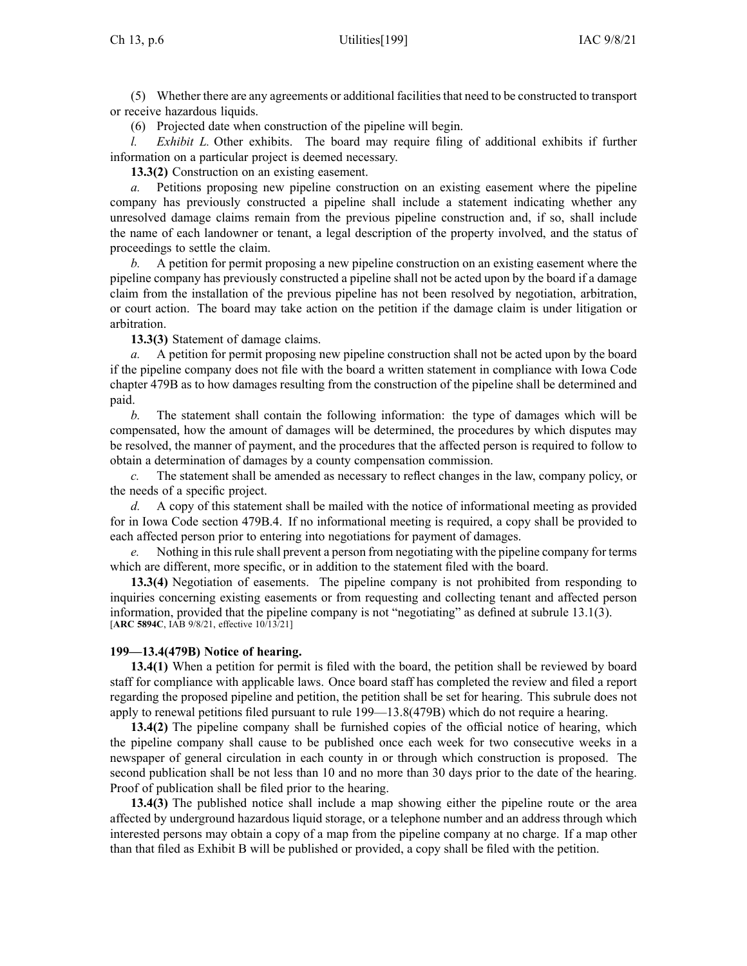(5) Whether there are any agreements or additional facilitiesthat need to be constructed to transport or receive hazardous liquids.

(6) Projected date when construction of the pipeline will begin.

*Exhibit L.* Other exhibits. The board may require filing of additional exhibits if further information on <sup>a</sup> particular project is deemed necessary.

**13.3(2)** Construction on an existing easement.

*a.* Petitions proposing new pipeline construction on an existing easement where the pipeline company has previously constructed <sup>a</sup> pipeline shall include <sup>a</sup> statement indicating whether any unresolved damage claims remain from the previous pipeline construction and, if so, shall include the name of each landowner or tenant, <sup>a</sup> legal description of the property involved, and the status of proceedings to settle the claim.

*b.* A petition for permit proposing <sup>a</sup> new pipeline construction on an existing easement where the pipeline company has previously constructed <sup>a</sup> pipeline shall not be acted upon by the board if <sup>a</sup> damage claim from the installation of the previous pipeline has not been resolved by negotiation, arbitration, or court action. The board may take action on the petition if the damage claim is under litigation or arbitration.

**13.3(3)** Statement of damage claims.

*a.* A petition for permit proposing new pipeline construction shall not be acted upon by the board if the pipeline company does not file with the board <sup>a</sup> written statement in compliance with Iowa Code chapter [479B](https://www.legis.iowa.gov/docs/ico/chapter/479B.pdf) as to how damages resulting from the construction of the pipeline shall be determined and paid.

*b.* The statement shall contain the following information: the type of damages which will be compensated, how the amount of damages will be determined, the procedures by which disputes may be resolved, the manner of payment, and the procedures that the affected person is required to follow to obtain <sup>a</sup> determination of damages by <sup>a</sup> county compensation commission.

*c.* The statement shall be amended as necessary to reflect changes in the law, company policy, or the needs of <sup>a</sup> specific project.

*d.* A copy of this statement shall be mailed with the notice of informational meeting as provided for in Iowa Code section [479B.4](https://www.legis.iowa.gov/docs/ico/section/479B.4.pdf). If no informational meeting is required, <sup>a</sup> copy shall be provided to each affected person prior to entering into negotiations for paymen<sup>t</sup> of damages.

*e.* Nothing in this rule shall prevent a person from negotiating with the pipeline company for terms which are different, more specific, or in addition to the statement filed with the board.

**13.3(4)** Negotiation of easements. The pipeline company is not prohibited from responding to inquiries concerning existing easements or from requesting and collecting tenant and affected person information, provided that the pipeline company is not "negotiating" as defined at subrule [13.1\(3\)](https://www.legis.iowa.gov/docs/iac/rule/199.13.1.pdf). [**ARC [5894C](https://www.legis.iowa.gov/docs/aco/arc/5894C.pdf)**, IAB 9/8/21, effective 10/13/21]

# **199—13.4(479B) Notice of hearing.**

**13.4(1)** When <sup>a</sup> petition for permit is filed with the board, the petition shall be reviewed by board staff for compliance with applicable laws. Once board staff has completed the review and filed <sup>a</sup> repor<sup>t</sup> regarding the proposed pipeline and petition, the petition shall be set for hearing. This subrule does not apply to renewal petitions filed pursuan<sup>t</sup> to rule [199—13.8](https://www.legis.iowa.gov/docs/iac/rule/199.13.8.pdf)(479B) which do not require <sup>a</sup> hearing.

**13.4(2)** The pipeline company shall be furnished copies of the official notice of hearing, which the pipeline company shall cause to be published once each week for two consecutive weeks in <sup>a</sup> newspaper of general circulation in each county in or through which construction is proposed. The second publication shall be not less than 10 and no more than 30 days prior to the date of the hearing. Proof of publication shall be filed prior to the hearing.

**13.4(3)** The published notice shall include <sup>a</sup> map showing either the pipeline route or the area affected by underground hazardous liquid storage, or <sup>a</sup> telephone number and an address through which interested persons may obtain <sup>a</sup> copy of <sup>a</sup> map from the pipeline company at no charge. If <sup>a</sup> map other than that filed as Exhibit B will be published or provided, <sup>a</sup> copy shall be filed with the petition.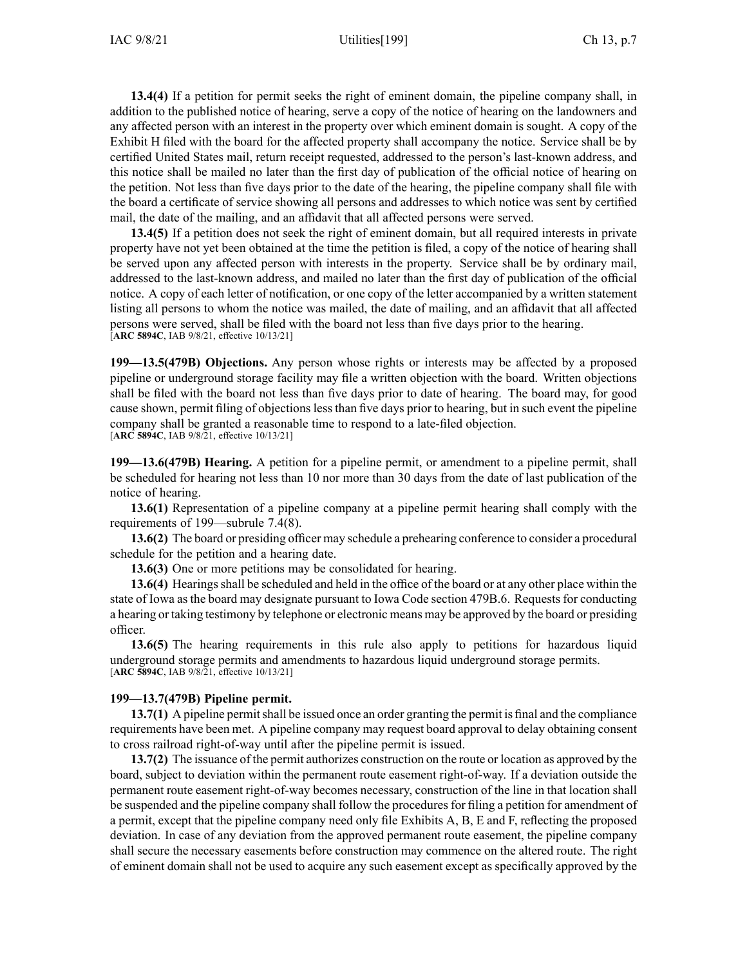**13.4(4)** If <sup>a</sup> petition for permit seeks the right of eminent domain, the pipeline company shall, in addition to the published notice of hearing, serve <sup>a</sup> copy of the notice of hearing on the landowners and any affected person with an interest in the property over which eminent domain is sought. A copy of the Exhibit H filed with the board for the affected property shall accompany the notice. Service shall be by certified United States mail, return receipt requested, addressed to the person's last-known address, and this notice shall be mailed no later than the first day of publication of the official notice of hearing on the petition. Not less than five days prior to the date of the hearing, the pipeline company shall file with the board <sup>a</sup> certificate of service showing all persons and addresses to which notice was sent by certified mail, the date of the mailing, and an affidavit that all affected persons were served.

**13.4(5)** If <sup>a</sup> petition does not seek the right of eminent domain, but all required interests in private property have not ye<sup>t</sup> been obtained at the time the petition is filed, <sup>a</sup> copy of the notice of hearing shall be served upon any affected person with interests in the property. Service shall be by ordinary mail, addressed to the last-known address, and mailed no later than the first day of publication of the official notice. A copy of each letter of notification, or one copy of the letter accompanied by <sup>a</sup> written statement listing all persons to whom the notice was mailed, the date of mailing, and an affidavit that all affected persons were served, shall be filed with the board not less than five days prior to the hearing. [**ARC [5894C](https://www.legis.iowa.gov/docs/aco/arc/5894C.pdf)**, IAB 9/8/21, effective 10/13/21]

**199—13.5(479B) Objections.** Any person whose rights or interests may be affected by <sup>a</sup> proposed pipeline or underground storage facility may file <sup>a</sup> written objection with the board. Written objections shall be filed with the board not less than five days prior to date of hearing. The board may, for good cause shown, permit filing of objections less than five days prior to hearing, but in such event the pipeline company shall be granted <sup>a</sup> reasonable time to respond to <sup>a</sup> late-filed objection. [**ARC [5894C](https://www.legis.iowa.gov/docs/aco/arc/5894C.pdf)**, IAB 9/8/21, effective 10/13/21]

**199—13.6(479B) Hearing.** A petition for <sup>a</sup> pipeline permit, or amendment to <sup>a</sup> pipeline permit, shall be scheduled for hearing not less than 10 nor more than 30 days from the date of last publication of the notice of hearing.

**13.6(1)** Representation of <sup>a</sup> pipeline company at <sup>a</sup> pipeline permit hearing shall comply with the requirements of [199—subrule](https://www.legis.iowa.gov/docs/iac/rule/199.7.4.pdf) 7.4(8).

**13.6(2)** The board or presiding officer may schedule <sup>a</sup> prehearing conference to consider <sup>a</sup> procedural schedule for the petition and <sup>a</sup> hearing date.

**13.6(3)** One or more petitions may be consolidated for hearing.

**13.6(4)** Hearingsshall be scheduled and held in the office of the board or at any other place within the state of Iowa as the board may designate pursuan<sup>t</sup> to Iowa Code section [479B.6](https://www.legis.iowa.gov/docs/ico/section/479B.6.pdf). Requests for conducting <sup>a</sup> hearing or taking testimony by telephone or electronic means may be approved by the board or presiding officer.

**13.6(5)** The hearing requirements in this rule also apply to petitions for hazardous liquid underground storage permits and amendments to hazardous liquid underground storage permits. [**ARC [5894C](https://www.legis.iowa.gov/docs/aco/arc/5894C.pdf)**, IAB 9/8/21, effective 10/13/21]

## **199—13.7(479B) Pipeline permit.**

**13.7(1)** A pipeline permit shall be issued once an order granting the permit is final and the compliance requirements have been met. A pipeline company may reques<sup>t</sup> board approval to delay obtaining consent to cross railroad right-of-way until after the pipeline permit is issued.

**13.7(2)** The issuance of the permit authorizes construction on the route or location as approved by the board, subject to deviation within the permanen<sup>t</sup> route easement right-of-way. If <sup>a</sup> deviation outside the permanen<sup>t</sup> route easement right-of-way becomes necessary, construction of the line in that location shall be suspended and the pipeline company shall follow the procedures for filing a petition for amendment of <sup>a</sup> permit, excep<sup>t</sup> that the pipeline company need only file Exhibits A, B, E and F, reflecting the proposed deviation. In case of any deviation from the approved permanen<sup>t</sup> route easement, the pipeline company shall secure the necessary easements before construction may commence on the altered route. The right of eminent domain shall not be used to acquire any such easement excep<sup>t</sup> as specifically approved by the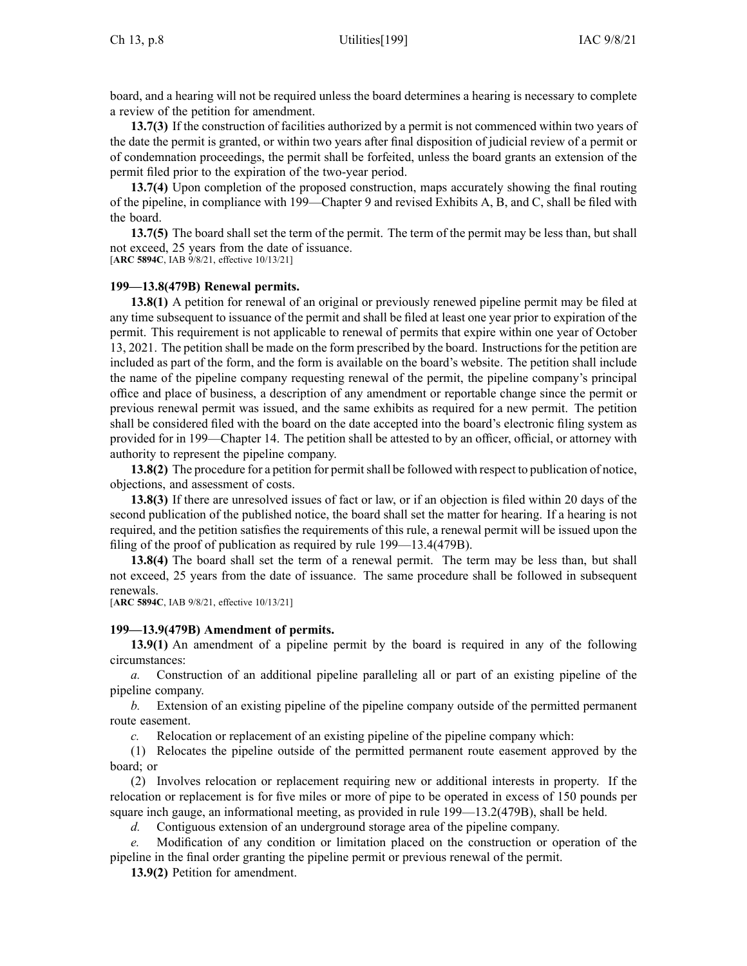board, and <sup>a</sup> hearing will not be required unless the board determines <sup>a</sup> hearing is necessary to complete <sup>a</sup> review of the petition for amendment.

**13.7(3)** If the construction of facilities authorized by <sup>a</sup> permit is not commenced within two years of the date the permit is granted, or within two years after final disposition of judicial review of <sup>a</sup> permit or of condemnation proceedings, the permit shall be forfeited, unless the board grants an extension of the permit filed prior to the expiration of the two-year period.

**13.7(4)** Upon completion of the proposed construction, maps accurately showing the final routing of the pipeline, in compliance with [199—Chapter](https://www.legis.iowa.gov/docs/iac/chapter/199.9.pdf) 9 and revised Exhibits A, B, and C, shall be filed with the board.

**13.7(5)** The board shall set the term of the permit. The term of the permit may be less than, but shall not exceed, 25 years from the date of issuance.

[**ARC [5894C](https://www.legis.iowa.gov/docs/aco/arc/5894C.pdf)**, IAB 9/8/21, effective 10/13/21]

### **199—13.8(479B) Renewal permits.**

**13.8(1)** A petition for renewal of an original or previously renewed pipeline permit may be filed at any time subsequent to issuance of the permit and shall be filed at least one year prior to expiration of the permit. This requirement is not applicable to renewal of permits that expire within one year of October 13, 2021. The petition shall be made on the form prescribed by the board. Instructionsfor the petition are included as par<sup>t</sup> of the form, and the form is available on the board's website. The petition shall include the name of the pipeline company requesting renewal of the permit, the pipeline company's principal office and place of business, <sup>a</sup> description of any amendment or reportable change since the permit or previous renewal permit was issued, and the same exhibits as required for <sup>a</sup> new permit. The petition shall be considered filed with the board on the date accepted into the board's electronic filing system as provided for in [199—Chapter](https://www.legis.iowa.gov/docs/iac/chapter/199.14.pdf) 14. The petition shall be attested to by an officer, official, or attorney with authority to represen<sup>t</sup> the pipeline company.

**13.8(2)** The procedure for <sup>a</sup> petition for permitshall be followed with respec<sup>t</sup> to publication of notice, objections, and assessment of costs.

**13.8(3)** If there are unresolved issues of fact or law, or if an objection is filed within 20 days of the second publication of the published notice, the board shall set the matter for hearing. If <sup>a</sup> hearing is not required, and the petition satisfies the requirements of this rule, <sup>a</sup> renewal permit will be issued upon the filing of the proof of publication as required by rule [199—13.4](https://www.legis.iowa.gov/docs/iac/rule/199.13.4.pdf)(479B).

**13.8(4)** The board shall set the term of <sup>a</sup> renewal permit. The term may be less than, but shall not exceed, 25 years from the date of issuance. The same procedure shall be followed in subsequent renewals.

[**ARC [5894C](https://www.legis.iowa.gov/docs/aco/arc/5894C.pdf)**, IAB 9/8/21, effective 10/13/21]

### **199—13.9(479B) Amendment of permits.**

**13.9(1)** An amendment of <sup>a</sup> pipeline permit by the board is required in any of the following circumstances:

*a.* Construction of an additional pipeline paralleling all or par<sup>t</sup> of an existing pipeline of the pipeline company.

*b.* Extension of an existing pipeline of the pipeline company outside of the permitted permanen<sup>t</sup> route easement.

*c.* Relocation or replacement of an existing pipeline of the pipeline company which:

(1) Relocates the pipeline outside of the permitted permanen<sup>t</sup> route easement approved by the board; or

(2) Involves relocation or replacement requiring new or additional interests in property. If the relocation or replacement is for five miles or more of pipe to be operated in excess of 150 pounds per square inch gauge, an informational meeting, as provided in rule 199—13.2(479B), shall be held.

*d.* Contiguous extension of an underground storage area of the pipeline company.

*e.* Modification of any condition or limitation placed on the construction or operation of the pipeline in the final order granting the pipeline permit or previous renewal of the permit.

**13.9(2)** Petition for amendment.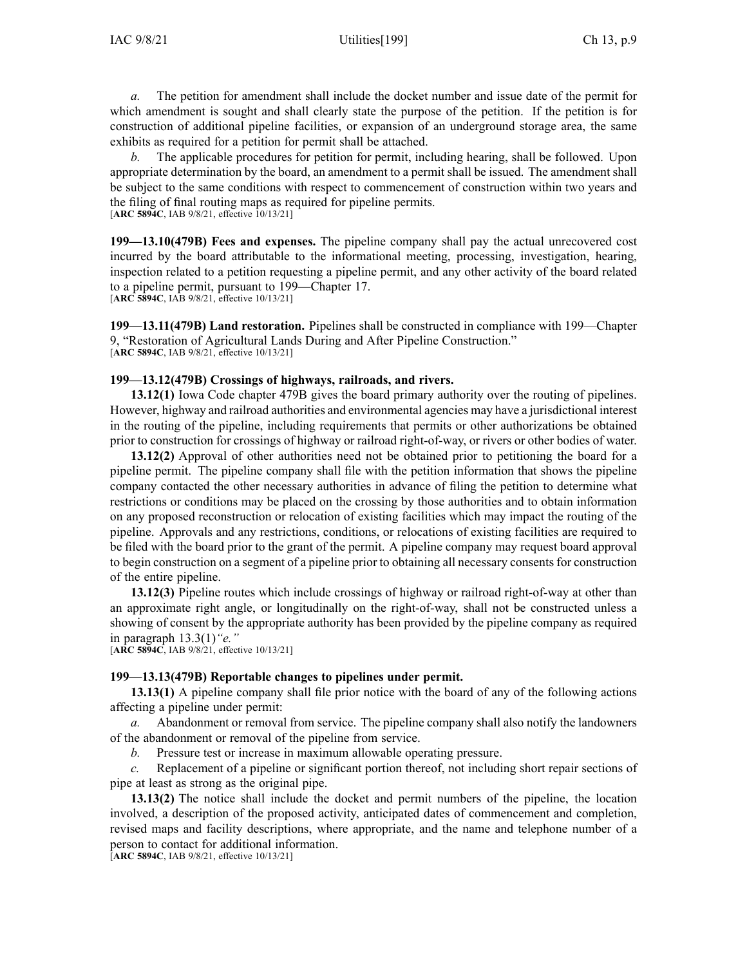*a.* The petition for amendment shall include the docket number and issue date of the permit for which amendment is sought and shall clearly state the purpose of the petition. If the petition is for construction of additional pipeline facilities, or expansion of an underground storage area, the same exhibits as required for <sup>a</sup> petition for permit shall be attached.

*b.* The applicable procedures for petition for permit, including hearing, shall be followed. Upon appropriate determination by the board, an amendment to <sup>a</sup> permit shall be issued. The amendment shall be subject to the same conditions with respec<sup>t</sup> to commencement of construction within two years and the filing of final routing maps as required for pipeline permits. [**ARC [5894C](https://www.legis.iowa.gov/docs/aco/arc/5894C.pdf)**, IAB 9/8/21, effective 10/13/21]

**199—13.10(479B) Fees and expenses.** The pipeline company shall pay the actual unrecovered cost incurred by the board attributable to the informational meeting, processing, investigation, hearing, inspection related to <sup>a</sup> petition requesting <sup>a</sup> pipeline permit, and any other activity of the board related to <sup>a</sup> pipeline permit, pursuan<sup>t</sup> to [199—Chapter](https://www.legis.iowa.gov/docs/iac/chapter/199.17.pdf) 17.

[**ARC [5894C](https://www.legis.iowa.gov/docs/aco/arc/5894C.pdf)**, IAB 9/8/21, effective 10/13/21]

**199—13.11(479B) Land restoration.** Pipelines shall be constructed in compliance with [199—Chapter](https://www.legis.iowa.gov/docs/iac/chapter/199.9.pdf) [9](https://www.legis.iowa.gov/docs/iac/chapter/199.9.pdf), "Restoration of Agricultural Lands During and After Pipeline Construction." [**ARC [5894C](https://www.legis.iowa.gov/docs/aco/arc/5894C.pdf)**, IAB 9/8/21, effective 10/13/21]

### **199—13.12(479B) Crossings of highways, railroads, and rivers.**

**13.12(1)** Iowa Code chapter [479B](https://www.legis.iowa.gov/docs/ico/chapter/479B.pdf) gives the board primary authority over the routing of pipelines. However, highway and railroad authorities and environmental agencies may have <sup>a</sup> jurisdictional interest in the routing of the pipeline, including requirements that permits or other authorizations be obtained prior to construction for crossings of highway or railroad right-of-way, or rivers or other bodies of water.

**13.12(2)** Approval of other authorities need not be obtained prior to petitioning the board for <sup>a</sup> pipeline permit. The pipeline company shall file with the petition information that shows the pipeline company contacted the other necessary authorities in advance of filing the petition to determine what restrictions or conditions may be placed on the crossing by those authorities and to obtain information on any proposed reconstruction or relocation of existing facilities which may impact the routing of the pipeline. Approvals and any restrictions, conditions, or relocations of existing facilities are required to be filed with the board prior to the gran<sup>t</sup> of the permit. A pipeline company may reques<sup>t</sup> board approval to begin construction on <sup>a</sup> segmen<sup>t</sup> of <sup>a</sup> pipeline prior to obtaining all necessary consents for construction of the entire pipeline.

**13.12(3)** Pipeline routes which include crossings of highway or railroad right-of-way at other than an approximate right angle, or longitudinally on the right-of-way, shall not be constructed unless <sup>a</sup> showing of consent by the appropriate authority has been provided by the pipeline company as required in paragraph [13.3\(1\)](https://www.legis.iowa.gov/docs/iac/rule/199.13.3.pdf)*"e."*

[**ARC [5894C](https://www.legis.iowa.gov/docs/aco/arc/5894C.pdf)**, IAB 9/8/21, effective 10/13/21]

### **199—13.13(479B) Reportable changes to pipelines under permit.**

**13.13(1)** A pipeline company shall file prior notice with the board of any of the following actions affecting <sup>a</sup> pipeline under permit:

*a.* Abandonment or removal from service. The pipeline company shall also notify the landowners of the abandonment or removal of the pipeline from service.

*b.* Pressure test or increase in maximum allowable operating pressure.

*c.* Replacement of <sup>a</sup> pipeline or significant portion thereof, not including short repair sections of pipe at least as strong as the original pipe.

**13.13(2)** The notice shall include the docket and permit numbers of the pipeline, the location involved, <sup>a</sup> description of the proposed activity, anticipated dates of commencement and completion, revised maps and facility descriptions, where appropriate, and the name and telephone number of <sup>a</sup> person to contact for additional information.

[**ARC [5894C](https://www.legis.iowa.gov/docs/aco/arc/5894C.pdf)**, IAB 9/8/21, effective 10/13/21]